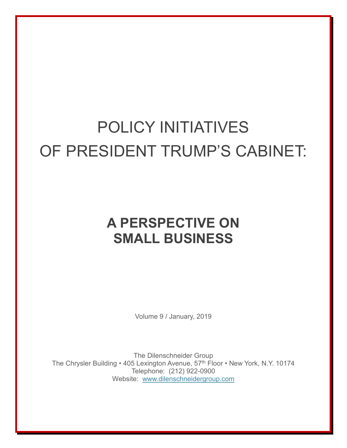## POLICY INITIATIVES OF PRESIDENT TRUMP'S CABINET:

## **A PERSPECTIVE ON SMALL BUSINESS**

Volume 9 / January, 2019

The Dilenschneider Group The Chrysler Building • 405 Lexington Avenue, 57<sup>th</sup> Floor • New York, N.Y. 10174 Telephone: (212) 922-0900 Website: [www.dilenschneidergroup.com](http://www.dilenschneidergroup.com/)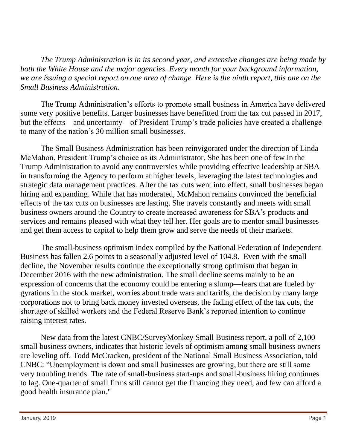*The Trump Administration is in its second year, and extensive changes are being made by both the White House and the major agencies. Every month for your background information, we are issuing a special report on one area of change. Here is the ninth report, this one on the Small Business Administration.*

The Trump Administration's efforts to promote small business in America have delivered some very positive benefits. Larger businesses have benefitted from the tax cut passed in 2017, but the effects—and uncertainty—of President Trump's trade policies have created a challenge to many of the nation's 30 million small businesses.

The Small Business Administration has been reinvigorated under the direction of Linda McMahon, President Trump's choice as its Administrator. She has been one of few in the Trump Administration to avoid any controversies while providing effective leadership at SBA in transforming the Agency to perform at higher levels, leveraging the latest technologies and strategic data management practices. After the tax cuts went into effect, small businesses began hiring and expanding. While that has moderated, McMahon remains convinced the beneficial effects of the tax cuts on businesses are lasting. She travels constantly and meets with small business owners around the Country to create increased awareness for SBA's products and services and remains pleased with what they tell her. Her goals are to mentor small businesses and get them access to capital to help them grow and serve the needs of their markets.

The small-business optimism index compiled by the National Federation of Independent Business has fallen 2.6 points to a seasonally adjusted level of 104.8. Even with the small decline, the November results continue the exceptionally strong optimism that began in December 2016 with the new administration. The small decline seems mainly to be an expression of concerns that the economy could be entering a slump—fears that are fueled by gyrations in the stock market, worries about trade wars and tariffs, the decision by many large corporations not to bring back money invested overseas, the fading effect of the tax cuts, the shortage of skilled workers and the Federal Reserve Bank's reported intention to continue raising interest rates.

New data from the latest CNBC/SurveyMonkey Small Business report, a poll of 2,100 small business owners, indicates that historic levels of optimism among small business owners are leveling off. Todd McCracken, president of the National Small Business Association, told CNBC: "Unemployment is down and small businesses are growing, but there are still some very troubling trends. The rate of small-business start-ups and small-business hiring continues to lag. One-quarter of small firms still cannot get the financing they need, and few can afford a good health insurance plan."